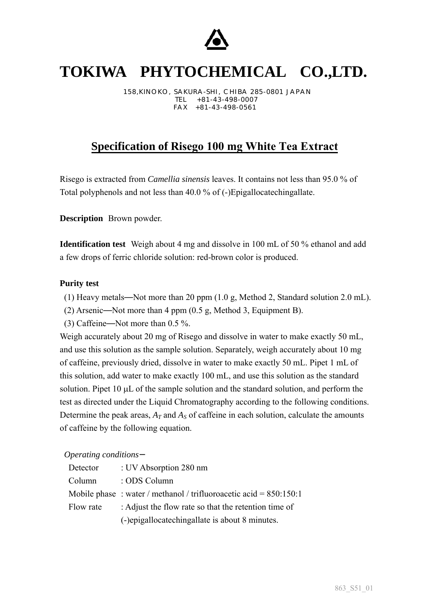

# **TOKIWA PHYTOCHEMICAL CO.,LTD.**

158,KINOKO, SAKURA-SHI , CHI BA 285-0801 JAPAN TEL +81-43-498-0007 FAX +81-43-498-0561

## **Specification of Risego 100 mg White Tea Extract**

Risego is extracted from *Camellia sinensis* leaves. It contains not less than 95.0 % of Total polyphenols and not less than 40.0 % of (-)Epigallocatechingallate.

**Description** Brown powder.

**Identification test** Weigh about 4 mg and dissolve in 100 mL of 50 % ethanol and add a few drops of ferric chloride solution: red-brown color is produced.

## **Purity test**

- (1) Heavy metals Not more than 20 ppm (1.0 g, Method 2, Standard solution 2.0 mL).
- (2) Arsenic Not more than 4 ppm (0.5 g, Method 3, Equipment B).
- (3) Caffeine Not more than 0.5 %.

Weigh accurately about 20 mg of Risego and dissolve in water to make exactly 50 mL, and use this solution as the sample solution. Separately, weigh accurately about 10 mg of caffeine, previously dried, dissolve in water to make exactly 50 mL. Pipet 1 mL of this solution, add water to make exactly 100 mL, and use this solution as the standard solution. Pipet  $10 \mu L$  of the sample solution and the standard solution, and perform the test as directed under the Liquid Chromatography according to the following conditions. Determine the peak areas,  $A_T$  and  $A_S$  of caffeine in each solution, calculate the amounts of caffeine by the following equation.

### *Operating conditions*

| Detector  | : UV Absorption 280 nm                                              |
|-----------|---------------------------------------------------------------------|
| Column    | : ODS Column                                                        |
|           | Mobile phase: water / methanol / trifluoroacetic acid = $850:150:1$ |
| Flow rate | : Adjust the flow rate so that the retention time of                |
|           | (-)epigallocatechingallate is about 8 minutes.                      |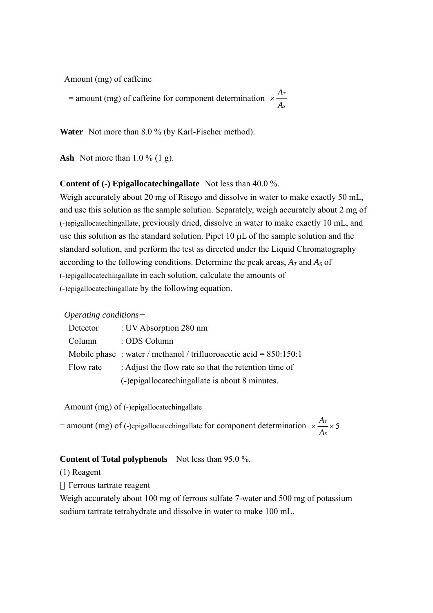Amount (mg) of caffeine

= amount (mg) of caffeine for component determination  $\times \frac{A_i}{A_i}$ *S A*  $\times \frac{A}{A}$ 

Water Not more than 8.0 % (by Karl-Fischer method).

**Ash** Not more than 1.0 % (1 g).

#### **Content of (-) Epigallocatechingallate** Not less than 40.0 %.

Weigh accurately about 20 mg of Risego and dissolve in water to make exactly 50 mL, and use this solution as the sample solution. Separately, weigh accurately about 2 mg of (-)epigallocatechingallate, previously dried, dissolve in water to make exactly 10 mL, and use this solution as the standard solution. Pipet 10 µL of the sample solution and the standard solution, and perform the test as directed under the Liquid Chromatography according to the following conditions. Determine the peak areas, *A<sup>T</sup>* and *A<sup>S</sup>* of (-)epigallocatechingallate in each solution, calculate the amounts of (-)epigallocatechingallate by the following equation.

## *Operating conditions*

| Detector  | : UV Absorption 280 nm                                              |
|-----------|---------------------------------------------------------------------|
| Column    | : ODS Column                                                        |
|           | Mobile phase: water / methanol / trifluoroacetic acid = $850:150:1$ |
| Flow rate | : Adjust the flow rate so that the retention time of                |
|           | (-)epigallocatechingallate is about 8 minutes.                      |

Amount (mg) of (-)epigallocatechingallate

= amount (mg) of (-)epigallocatechingallate for component determination  $\times \frac{Ar}{dx} \times 5$ *S A A*

## **Content of Total polyphenols** Not less than 95.0 %.

(1) Reagent

Ferrous tartrate reagent

Weigh accurately about 100 mg of ferrous sulfate 7-water and 500 mg of potassium sodium tartrate tetrahydrate and dissolve in water to make 100 mL.